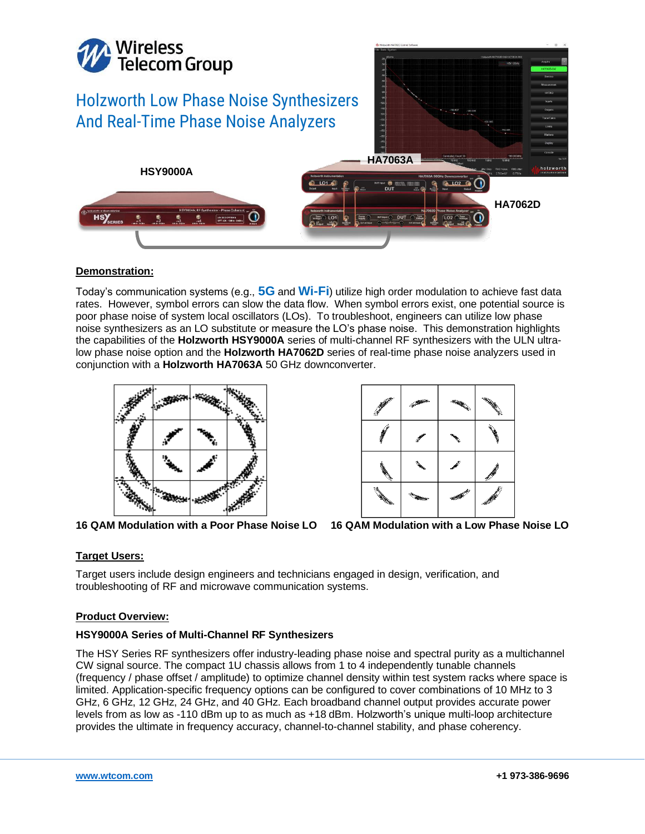

# **Demonstration:**

Today's communication systems (e.g., **5G** and **Wi-Fi**) utilize high order modulation to achieve fast data rates. However, symbol errors can slow the data flow. When symbol errors exist, one potential source is poor phase noise of system local oscillators (LOs). To troubleshoot, engineers can utilize low phase noise synthesizers as an LO substitute or measure the LO's phase noise. This demonstration highlights the capabilities of the **Holzworth HSY9000A** series of multi-channel RF synthesizers with the ULN ultralow phase noise option and the **Holzworth HA7062D** series of real-time phase noise analyzers used in conjunction with a **Holzworth HA7063A** 50 GHz downconverter.





**16 QAM Modulation with a Poor Phase Noise LO 16 QAM Modulation with a Low Phase Noise LO**



# **Target Users:**

Target users include design engineers and technicians engaged in design, verification, and troubleshooting of RF and microwave communication systems.

## **Product Overview:**

## **HSY9000A Series of Multi-Channel RF Synthesizers**

The HSY Series RF synthesizers offer industry-leading phase noise and spectral purity as a multichannel CW signal source. The compact 1U chassis allows from 1 to 4 independently tunable channels (frequency / phase offset / amplitude) to optimize channel density within test system racks where space is limited. Application-specific frequency options can be configured to cover combinations of 10 MHz to 3 GHz, 6 GHz, 12 GHz, 24 GHz, and 40 GHz. Each broadband channel output provides accurate power levels from as low as -110 dBm up to as much as +18 dBm. Holzworth's unique multi-loop architecture provides the ultimate in frequency accuracy, channel-to-channel stability, and phase coherency.